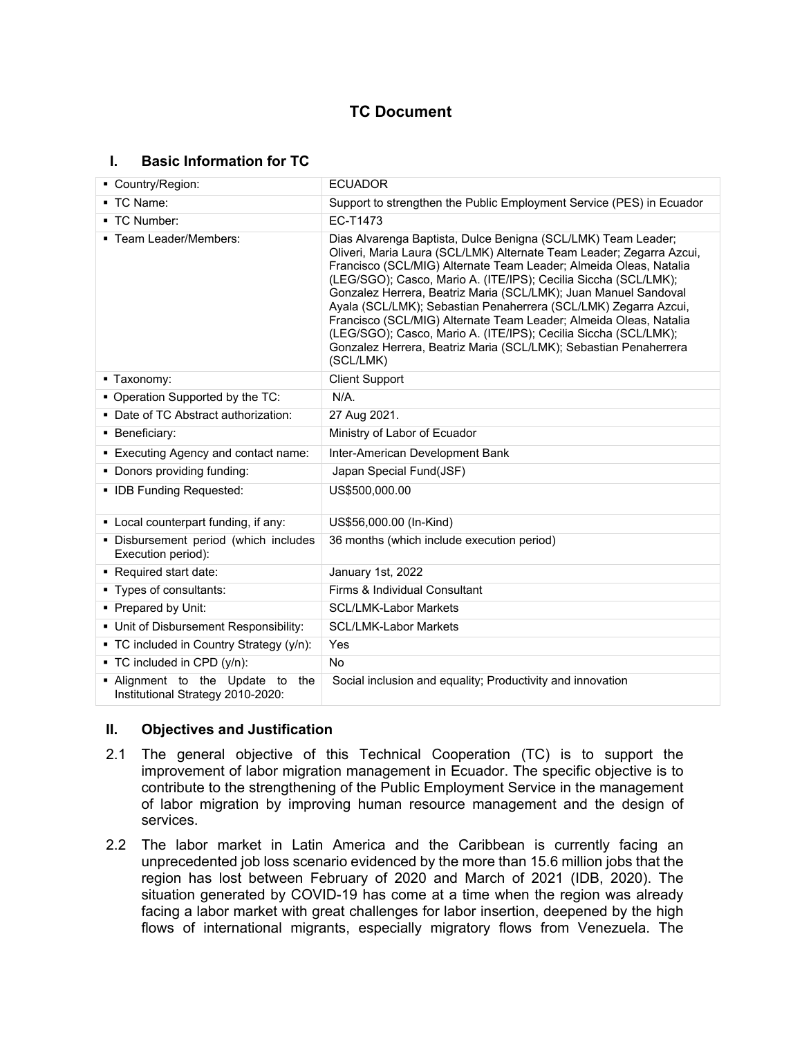# **TC Document**

#### **I. Basic Information for TC**

| Country/Region:                                                       | <b>ECUADOR</b>                                                                                                                                                                                                                                                                                                                                                                                                                                                                                                                                                                                                                               |  |  |
|-----------------------------------------------------------------------|----------------------------------------------------------------------------------------------------------------------------------------------------------------------------------------------------------------------------------------------------------------------------------------------------------------------------------------------------------------------------------------------------------------------------------------------------------------------------------------------------------------------------------------------------------------------------------------------------------------------------------------------|--|--|
| ■ TC Name:                                                            | Support to strengthen the Public Employment Service (PES) in Ecuador                                                                                                                                                                                                                                                                                                                                                                                                                                                                                                                                                                         |  |  |
| • TC Number:                                                          | EC-T1473                                                                                                                                                                                                                                                                                                                                                                                                                                                                                                                                                                                                                                     |  |  |
| ■ Team Leader/Members:                                                | Dias Alvarenga Baptista, Dulce Benigna (SCL/LMK) Team Leader;<br>Oliveri, Maria Laura (SCL/LMK) Alternate Team Leader; Zegarra Azcui,<br>Francisco (SCL/MIG) Alternate Team Leader; Almeida Oleas, Natalia<br>(LEG/SGO); Casco, Mario A. (ITE/IPS); Cecilia Siccha (SCL/LMK);<br>Gonzalez Herrera, Beatriz Maria (SCL/LMK); Juan Manuel Sandoval<br>Ayala (SCL/LMK); Sebastian Penaherrera (SCL/LMK) Zegarra Azcui,<br>Francisco (SCL/MIG) Alternate Team Leader; Almeida Oleas, Natalia<br>(LEG/SGO); Casco, Mario A. (ITE/IPS); Cecilia Siccha (SCL/LMK);<br>Gonzalez Herrera, Beatriz Maria (SCL/LMK); Sebastian Penaherrera<br>(SCL/LMK) |  |  |
| ■ Taxonomy:                                                           | <b>Client Support</b>                                                                                                                                                                                                                                                                                                                                                                                                                                                                                                                                                                                                                        |  |  |
| • Operation Supported by the TC:                                      | $N/A$ .                                                                                                                                                                                                                                                                                                                                                                                                                                                                                                                                                                                                                                      |  |  |
| • Date of TC Abstract authorization:                                  | 27 Aug 2021.                                                                                                                                                                                                                                                                                                                                                                                                                                                                                                                                                                                                                                 |  |  |
| • Beneficiary:                                                        | Ministry of Labor of Ecuador                                                                                                                                                                                                                                                                                                                                                                                                                                                                                                                                                                                                                 |  |  |
| • Executing Agency and contact name:                                  | Inter-American Development Bank                                                                                                                                                                                                                                                                                                                                                                                                                                                                                                                                                                                                              |  |  |
| • Donors providing funding:                                           | Japan Special Fund(JSF)                                                                                                                                                                                                                                                                                                                                                                                                                                                                                                                                                                                                                      |  |  |
| • IDB Funding Requested:                                              | US\$500,000.00                                                                                                                                                                                                                                                                                                                                                                                                                                                                                                                                                                                                                               |  |  |
| • Local counterpart funding, if any:                                  | US\$56,000.00 (In-Kind)                                                                                                                                                                                                                                                                                                                                                                                                                                                                                                                                                                                                                      |  |  |
| · Disbursement period (which includes<br>Execution period):           | 36 months (which include execution period)                                                                                                                                                                                                                                                                                                                                                                                                                                                                                                                                                                                                   |  |  |
| ■ Required start date:                                                | January 1st, 2022                                                                                                                                                                                                                                                                                                                                                                                                                                                                                                                                                                                                                            |  |  |
| ■ Types of consultants:                                               | Firms & Individual Consultant                                                                                                                                                                                                                                                                                                                                                                                                                                                                                                                                                                                                                |  |  |
| • Prepared by Unit:                                                   | <b>SCL/LMK-Labor Markets</b>                                                                                                                                                                                                                                                                                                                                                                                                                                                                                                                                                                                                                 |  |  |
| • Unit of Disbursement Responsibility:                                | <b>SCL/LMK-Labor Markets</b>                                                                                                                                                                                                                                                                                                                                                                                                                                                                                                                                                                                                                 |  |  |
| • TC included in Country Strategy (y/n):                              | Yes                                                                                                                                                                                                                                                                                                                                                                                                                                                                                                                                                                                                                                          |  |  |
| ■ TC included in CPD (y/n):                                           | <b>No</b>                                                                                                                                                                                                                                                                                                                                                                                                                                                                                                                                                                                                                                    |  |  |
| . Alignment to the Update to the<br>Institutional Strategy 2010-2020: | Social inclusion and equality; Productivity and innovation                                                                                                                                                                                                                                                                                                                                                                                                                                                                                                                                                                                   |  |  |

#### **II. Objectives and Justification**

- 2.1 The general objective of this Technical Cooperation (TC) is to support the improvement of labor migration management in Ecuador. The specific objective is to contribute to the strengthening of the Public Employment Service in the management of labor migration by improving human resource management and the design of services.
- 2.2 The labor market in Latin America and the Caribbean is currently facing an unprecedented job loss scenario evidenced by the more than 15.6 million jobs that the region has lost between February of 2020 and March of 2021 (IDB, 2020). The situation generated by COVID-19 has come at a time when the region was already facing a labor market with great challenges for labor insertion, deepened by the high flows of international migrants, especially migratory flows from Venezuela. The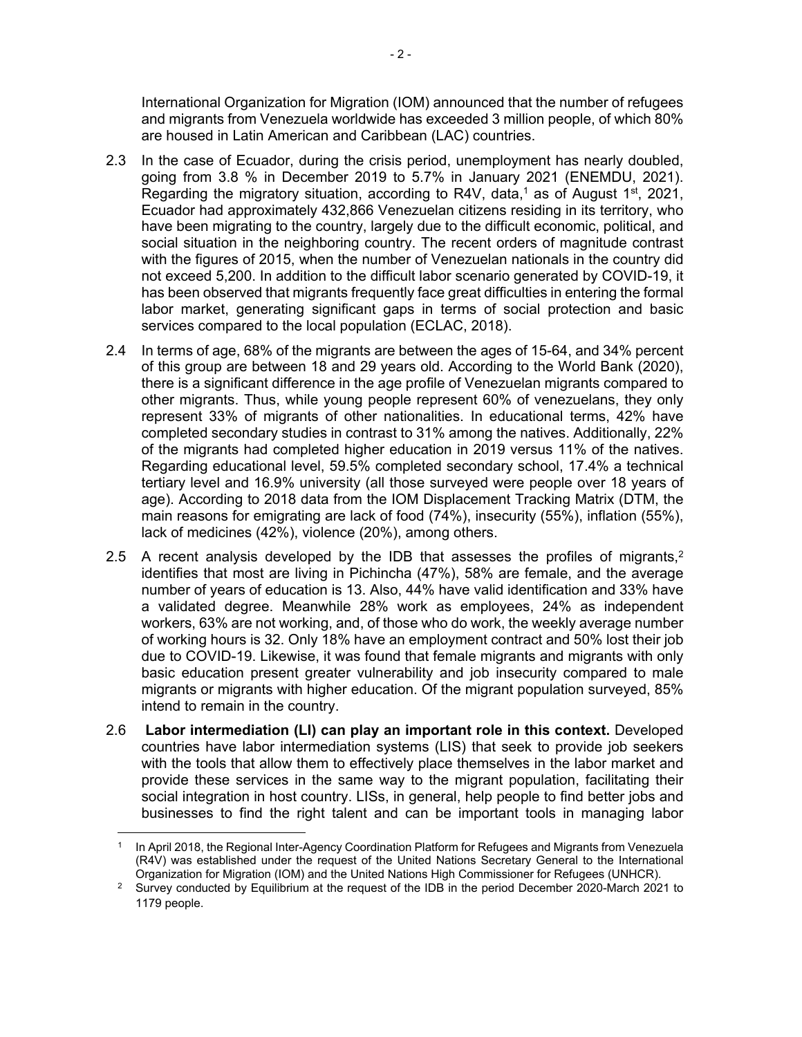International Organization for Migration (IOM) announced that the number of refugees and migrants from Venezuela worldwide has exceeded 3 million people, of which 80% are housed in Latin American and Caribbean (LAC) countries.

- 2.3 In the case of Ecuador, during the crisis period, unemployment has nearly doubled, going from 3.8 % in December 2019 to 5.7% in January 2021 (ENEMDU, 2021). Regarding the migratory situation, according to R4V, data,<sup>1</sup> as of August 1<sup>st</sup>, 2021, Ecuador had approximately 432,866 Venezuelan citizens residing in its territory, who have been migrating to the country, largely due to the difficult economic, political, and social situation in the neighboring country. The recent orders of magnitude contrast with the figures of 2015, when the number of Venezuelan nationals in the country did not exceed 5,200. In addition to the difficult labor scenario generated by COVID-19, it has been observed that migrants frequently face great difficulties in entering the formal labor market, generating significant gaps in terms of social protection and basic services compared to the local population (ECLAC, 2018).
- 2.4 In terms of age, 68% of the migrants are between the ages of 15-64, and 34% percent of this group are between 18 and 29 years old. According to the World Bank (2020), there is a significant difference in the age profile of Venezuelan migrants compared to other migrants. Thus, while young people represent 60% of venezuelans, they only represent 33% of migrants of other nationalities. In educational terms, 42% have completed secondary studies in contrast to 31% among the natives. Additionally, 22% of the migrants had completed higher education in 2019 versus 11% of the natives. Regarding educational level, 59.5% completed secondary school, 17.4% a technical tertiary level and 16.9% university (all those surveyed were people over 18 years of age). According to 2018 data from the IOM Displacement Tracking Matrix (DTM, the main reasons for emigrating are lack of food (74%), insecurity (55%), inflation (55%), lack of medicines (42%), violence (20%), among others.
- 2.5 A recent analysis developed by the IDB that assesses the profiles of migrants, $2$ identifies that most are living in Pichincha (47%), 58% are female, and the average number of years of education is 13. Also, 44% have valid identification and 33% have a validated degree. Meanwhile 28% work as employees, 24% as independent workers, 63% are not working, and, of those who do work, the weekly average number of working hours is 32. Only 18% have an employment contract and 50% lost their job due to COVID-19. Likewise, it was found that female migrants and migrants with only basic education present greater vulnerability and job insecurity compared to male migrants or migrants with higher education. Of the migrant population surveyed, 85% intend to remain in the country.
- 2.6 **Labor intermediation (LI) can play an important role in this context.** Developed countries have labor intermediation systems (LIS) that seek to provide job seekers with the tools that allow them to effectively place themselves in the labor market and provide these services in the same way to the migrant population, facilitating their social integration in host country. LISs, in general, help people to find better jobs and businesses to find the right talent and can be important tools in managing labor

<sup>1</sup> In April 2018, the Regional Inter-Agency Coordination Platform for Refugees and Migrants from Venezuela (R4V) was established under the request of the United Nations Secretary General to the International Organization for Migration (IOM) and the United Nations High Commissioner for Refugees (UNHCR).

<sup>&</sup>lt;sup>2</sup> Survey conducted by Equilibrium at the request of the IDB in the period December 2020-March 2021 to 1179 people.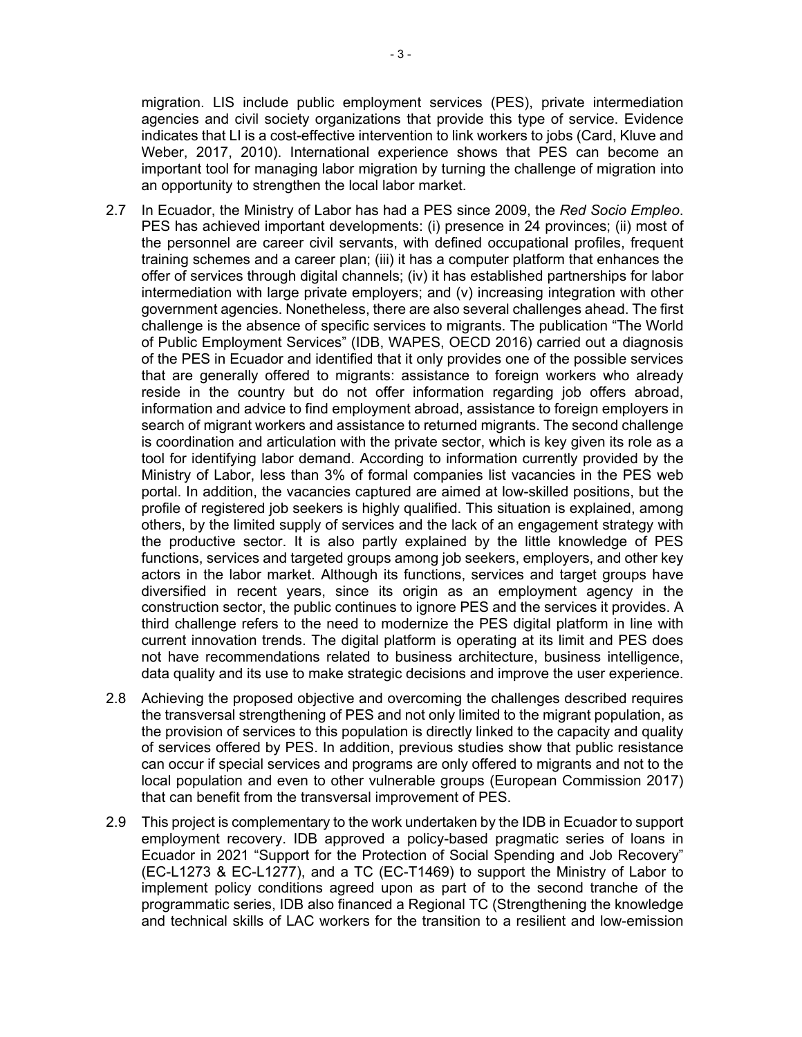migration. LIS include public employment services (PES), private intermediation agencies and civil society organizations that provide this type of service. Evidence indicates that LI is a cost-effective intervention to link workers to jobs (Card, Kluve and Weber, 2017, 2010). International experience shows that PES can become an important tool for managing labor migration by turning the challenge of migration into an opportunity to strengthen the local labor market.

- 2.7 In Ecuador, the Ministry of Labor has had a PES since 2009, the *Red Socio Empleo*. PES has achieved important developments: (i) presence in 24 provinces; (ii) most of the personnel are career civil servants, with defined occupational profiles, frequent training schemes and a career plan; (iii) it has a computer platform that enhances the offer of services through digital channels; (iv) it has established partnerships for labor intermediation with large private employers; and (v) increasing integration with other government agencies. Nonetheless, there are also several challenges ahead. The first challenge is the absence of specific services to migrants. The publication "The World of Public Employment Services" (IDB, WAPES, OECD 2016) carried out a diagnosis of the PES in Ecuador and identified that it only provides one of the possible services that are generally offered to migrants: assistance to foreign workers who already reside in the country but do not offer information regarding job offers abroad, information and advice to find employment abroad, assistance to foreign employers in search of migrant workers and assistance to returned migrants. The second challenge is coordination and articulation with the private sector, which is key given its role as a tool for identifying labor demand. According to information currently provided by the Ministry of Labor, less than 3% of formal companies list vacancies in the PES web portal. In addition, the vacancies captured are aimed at low-skilled positions, but the profile of registered job seekers is highly qualified. This situation is explained, among others, by the limited supply of services and the lack of an engagement strategy with the productive sector. It is also partly explained by the little knowledge of PES functions, services and targeted groups among job seekers, employers, and other key actors in the labor market. Although its functions, services and target groups have diversified in recent years, since its origin as an employment agency in the construction sector, the public continues to ignore PES and the services it provides. A third challenge refers to the need to modernize the PES digital platform in line with current innovation trends. The digital platform is operating at its limit and PES does not have recommendations related to business architecture, business intelligence, data quality and its use to make strategic decisions and improve the user experience.
- 2.8 Achieving the proposed objective and overcoming the challenges described requires the transversal strengthening of PES and not only limited to the migrant population, as the provision of services to this population is directly linked to the capacity and quality of services offered by PES. In addition, previous studies show that public resistance can occur if special services and programs are only offered to migrants and not to the local population and even to other vulnerable groups (European Commission 2017) that can benefit from the transversal improvement of PES.
- 2.9 This project is complementary to the work undertaken by the IDB in Ecuador to support employment recovery. IDB approved a policy-based pragmatic series of loans in Ecuador in 2021 "Support for the Protection of Social Spending and Job Recovery" (EC-L1273 & EC-L1277), and a TC (EC-T1469) to support the Ministry of Labor to implement policy conditions agreed upon as part of to the second tranche of the programmatic series, IDB also financed a Regional TC (Strengthening the knowledge and technical skills of LAC workers for the transition to a resilient and low-emission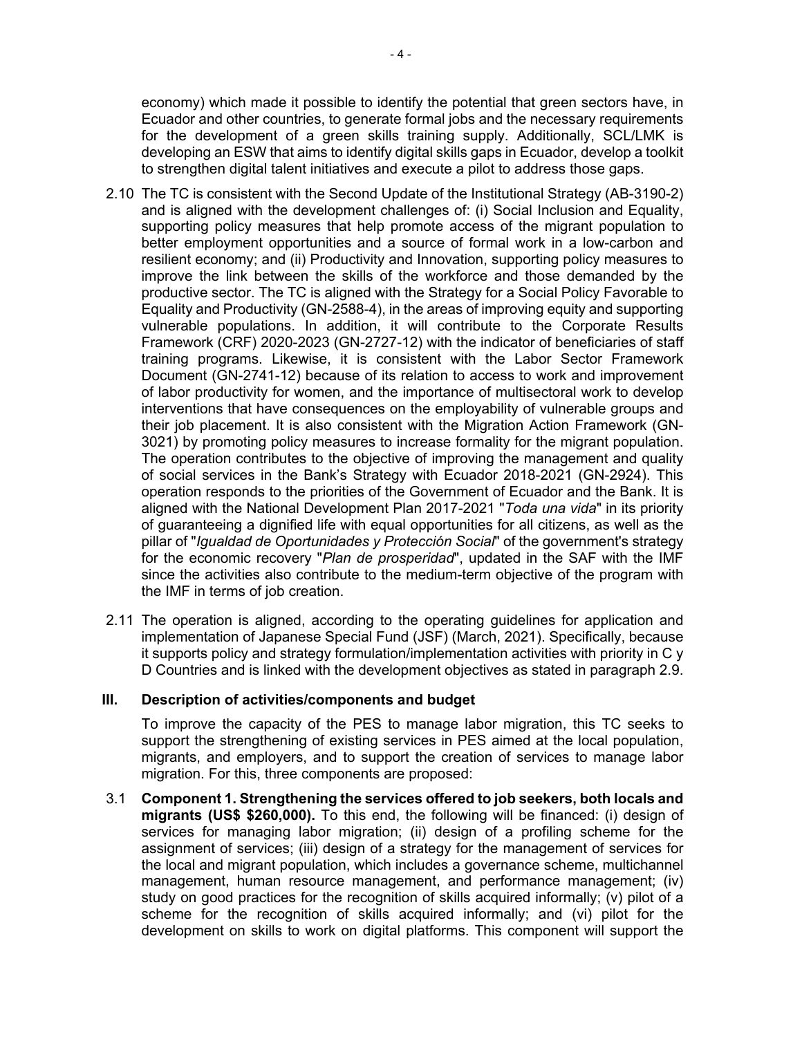economy) which made it possible to identify the potential that green sectors have, in Ecuador and other countries, to generate formal jobs and the necessary requirements for the development of a green skills training supply. Additionally, SCL/LMK is developing an ESW that aims to identify digital skills gaps in Ecuador, develop a toolkit to strengthen digital talent initiatives and execute a pilot to address those gaps.

- 2.10 The TC is consistent with the Second Update of the Institutional Strategy (AB-3190-2) and is aligned with the development challenges of: (i) Social Inclusion and Equality, supporting policy measures that help promote access of the migrant population to better employment opportunities and a source of formal work in a low-carbon and resilient economy; and (ii) Productivity and Innovation, supporting policy measures to improve the link between the skills of the workforce and those demanded by the productive sector. The TC is aligned with the Strategy for a Social Policy Favorable to Equality and Productivity (GN-2588-4), in the areas of improving equity and supporting vulnerable populations. In addition, it will contribute to the Corporate Results Framework (CRF) 2020-2023 (GN-2727-12) with the indicator of beneficiaries of staff training programs. Likewise, it is consistent with the Labor Sector Framework Document (GN-2741-12) because of its relation to access to work and improvement of labor productivity for women, and the importance of multisectoral work to develop interventions that have consequences on the employability of vulnerable groups and their job placement. It is also consistent with the Migration Action Framework (GN-3021) by promoting policy measures to increase formality for the migrant population. The operation contributes to the objective of improving the management and quality of social services in the Bank's Strategy with Ecuador 2018-2021 (GN-2924). This operation responds to the priorities of the Government of Ecuador and the Bank. It is aligned with the National Development Plan 2017-2021 "*Toda una vida*" in its priority of guaranteeing a dignified life with equal opportunities for all citizens, as well as the pillar of "*Igualdad de Oportunidades y Protección Social*" of the government's strategy for the economic recovery "*Plan de prosperidad*", updated in the SAF with the IMF since the activities also contribute to the medium-term objective of the program with the IMF in terms of job creation.
- 2.11 The operation is aligned, according to the operating guidelines for application and implementation of Japanese Special Fund (JSF) (March, 2021). Specifically, because it supports policy and strategy formulation/implementation activities with priority in C y D Countries and is linked with the development objectives as stated in paragraph 2.9.

#### **III. Description of activities/components and budget**

To improve the capacity of the PES to manage labor migration, this TC seeks to support the strengthening of existing services in PES aimed at the local population, migrants, and employers, and to support the creation of services to manage labor migration. For this, three components are proposed:

3.1 **Component 1. Strengthening the services offered to job seekers, both locals and migrants (US\$ \$260,000).** To this end, the following will be financed: (i) design of services for managing labor migration; (ii) design of a profiling scheme for the assignment of services; (iii) design of a strategy for the management of services for the local and migrant population, which includes a governance scheme, multichannel management, human resource management, and performance management; (iv) study on good practices for the recognition of skills acquired informally; (v) pilot of a scheme for the recognition of skills acquired informally; and (vi) pilot for the development on skills to work on digital platforms. This component will support the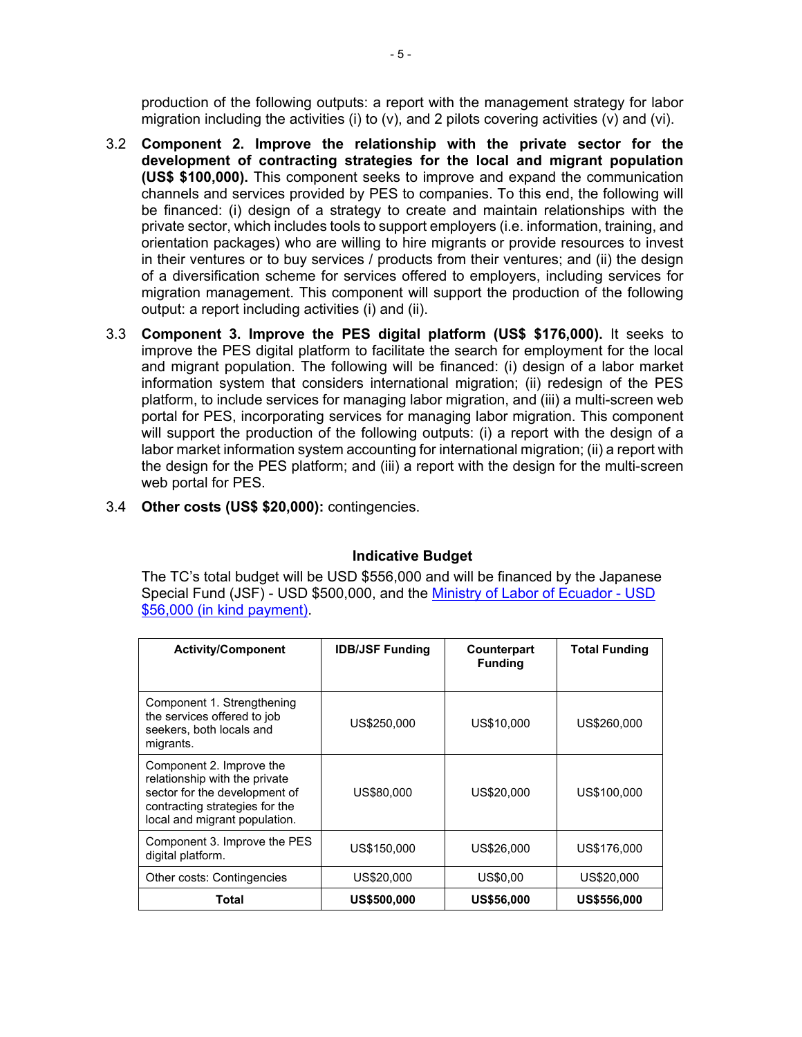production of the following outputs: a report with the management strategy for labor migration including the activities (i) to  $(v)$ , and 2 pilots covering activities  $(v)$  and  $(v)$ .

- 3.2 **Component 2. Improve the relationship with the private sector for the development of contracting strategies for the local and migrant population (US\$ \$100,000).** This component seeks to improve and expand the communication channels and services provided by PES to companies. To this end, the following will be financed: (i) design of a strategy to create and maintain relationships with the private sector, which includes tools to support employers (i.e. information, training, and orientation packages) who are willing to hire migrants or provide resources to invest in their ventures or to buy services / products from their ventures; and (ii) the design of a diversification scheme for services offered to employers, including services for migration management. This component will support the production of the following output: a report including activities (i) and (ii).
- 3.3 **Component 3. Improve the PES digital platform (US\$ \$176,000).** It seeks to improve the PES digital platform to facilitate the search for employment for the local and migrant population. The following will be financed: (i) design of a labor market information system that considers international migration; (ii) redesign of the PES platform, to include services for managing labor migration, and (iii) a multi-screen web portal for PES, incorporating services for managing labor migration. This component will support the production of the following outputs: (i) a report with the design of a labor market information system accounting for international migration; (ii) a report with the design for the PES platform; and (iii) a report with the design for the multi-screen web portal for PES.
- 3.4 **Other costs (US\$ \$20,000):** contingencies.

### **Indicative Budget**

The TC's total budget will be USD \$556,000 and will be financed by the Japanese Special Fund (JSF) - USD \$500,000, and the [Ministry of Labor of Ecuador - USD](http://idbdocs.iadb.org/wsdocs/getDocument.aspx?DOCNUM=EZSHARE-1933575556-15)  [\\$56,000 \(in kind payment\)](http://idbdocs.iadb.org/wsdocs/getDocument.aspx?DOCNUM=EZSHARE-1933575556-15).

| <b>Activity/Component</b>                                                                                                                                     | <b>IDB/JSF Funding</b> | Counterpart<br><b>Funding</b> | <b>Total Funding</b> |
|---------------------------------------------------------------------------------------------------------------------------------------------------------------|------------------------|-------------------------------|----------------------|
| Component 1. Strengthening<br>the services offered to job<br>seekers, both locals and<br>migrants.                                                            | US\$250,000            | US\$10,000                    | US\$260,000          |
| Component 2. Improve the<br>relationship with the private<br>sector for the development of<br>contracting strategies for the<br>local and migrant population. | US\$80,000             | US\$20,000                    | US\$100,000          |
| Component 3. Improve the PES<br>digital platform.                                                                                                             | US\$150,000            | US\$26,000                    | US\$176,000          |
| Other costs: Contingencies                                                                                                                                    | US\$20,000             | US\$0,00                      | US\$20,000           |
| Total                                                                                                                                                         | US\$500.000            | <b>US\$56,000</b>             | <b>US\$556,000</b>   |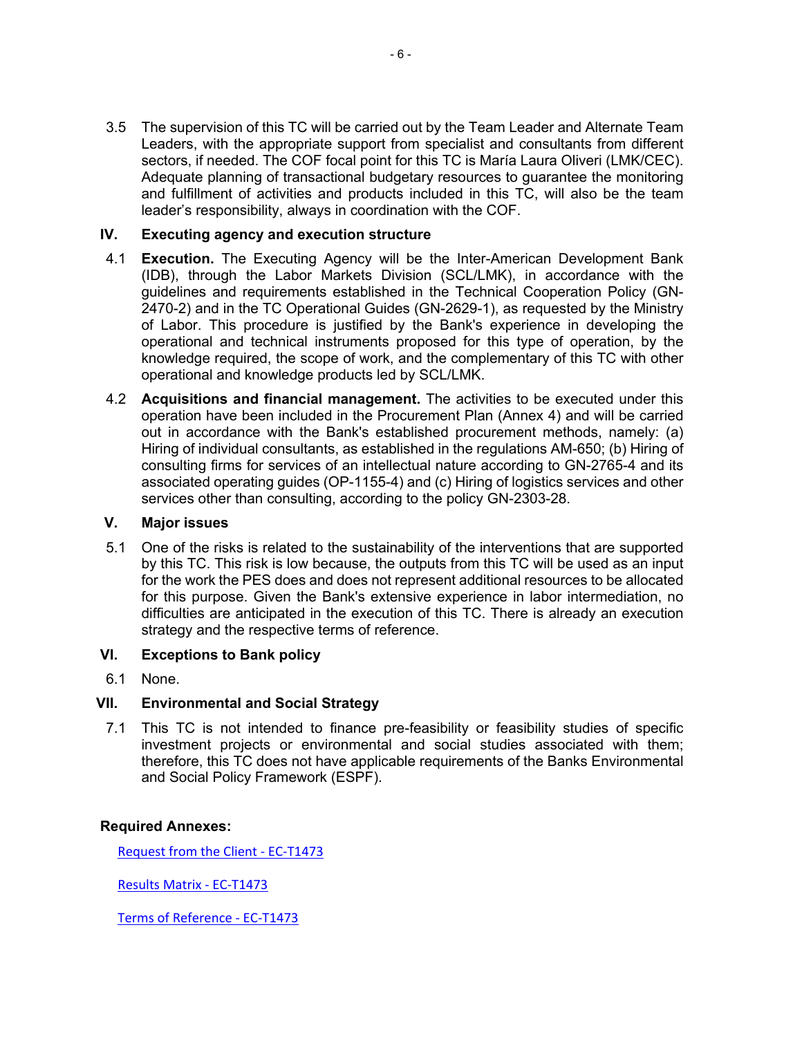3.5 The supervision of this TC will be carried out by the Team Leader and Alternate Team Leaders, with the appropriate support from specialist and consultants from different sectors, if needed. The COF focal point for this TC is María Laura Oliveri (LMK/CEC). Adequate planning of transactional budgetary resources to guarantee the monitoring and fulfillment of activities and products included in this TC, will also be the team leader's responsibility, always in coordination with the COF.

### **IV. Executing agency and execution structure**

- 4.1 **Execution.** The Executing Agency will be the Inter-American Development Bank (IDB), through the Labor Markets Division (SCL/LMK), in accordance with the guidelines and requirements established in the Technical Cooperation Policy (GN-2470-2) and in the TC Operational Guides (GN-2629-1), as requested by the Ministry of Labor. This procedure is justified by the Bank's experience in developing the operational and technical instruments proposed for this type of operation, by the knowledge required, the scope of work, and the complementary of this TC with other operational and knowledge products led by SCL/LMK.
- 4.2 **Acquisitions and financial management.** The activities to be executed under this operation have been included in the Procurement Plan (Annex 4) and will be carried out in accordance with the Bank's established procurement methods, namely: (a) Hiring of individual consultants, as established in the regulations AM-650; (b) Hiring of consulting firms for services of an intellectual nature according to GN-2765-4 and its associated operating guides (OP-1155-4) and (c) Hiring of logistics services and other services other than consulting, according to the policy GN-2303-28.

## **V. Major issues**

5.1 One of the risks is related to the sustainability of the interventions that are supported by this TC. This risk is low because, the outputs from this TC will be used as an input for the work the PES does and does not represent additional resources to be allocated for this purpose. Given the Bank's extensive experience in labor intermediation, no difficulties are anticipated in the execution of this TC. There is already an execution strategy and the respective terms of reference.

### **VI. Exceptions to Bank policy**

6.1 None.

### **VII. Environmental and Social Strategy**

7.1 This TC is not intended to finance pre-feasibility or feasibility studies of specific investment projects or environmental and social studies associated with them; therefore, this TC does not have applicable requirements of the Banks Environmental and Social Policy Framework (ESPF).

#### **Required Annexes:**

[Request from the Client - EC-T1473](https://idbdocs.iadb.org/wsdocs/getDocument.aspx?DOCNUM=EZSHARE-1933575556-5)

[Results Matrix - EC-T1473](https://idbdocs.iadb.org/wsdocs/getDocument.aspx?DOCNUM=EZSHARE-1933575556-6)

[Terms of Reference - EC-T1473](https://idbdocs.iadb.org/wsdocs/getDocument.aspx?DOCNUM=EZSHARE-1933575556-7)